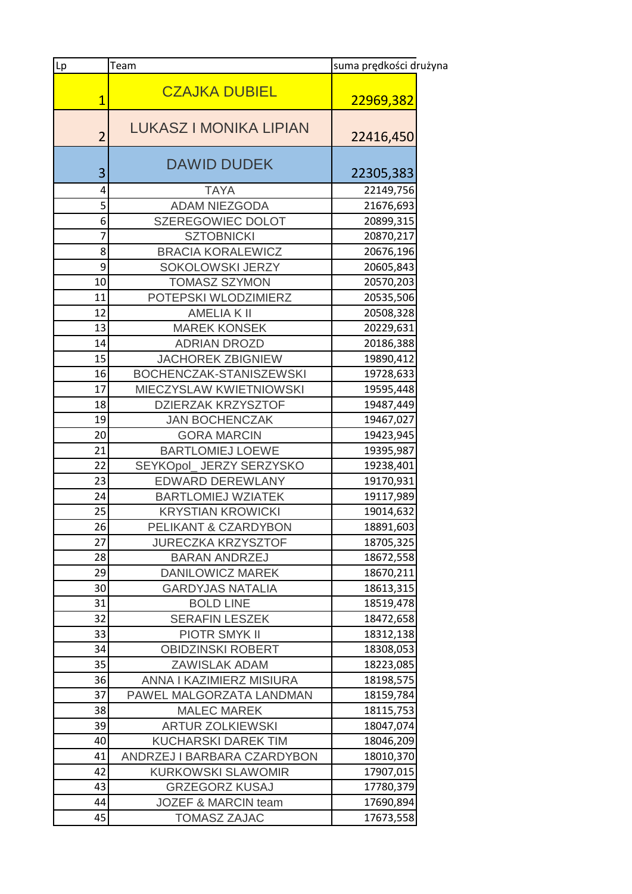| Lp             | Team                           | suma prędkości drużyna |  |
|----------------|--------------------------------|------------------------|--|
| $\overline{1}$ | <b>CZAJKA DUBIEL</b>           | 22969,382              |  |
| $\overline{2}$ | <b>LUKASZ I MONIKA LIPIAN</b>  | 22416,450              |  |
| 3              | <b>DAWID DUDEK</b>             | 22305,383              |  |
| 4              | <b>TAYA</b>                    | 22149,756              |  |
| 5              | <b>ADAM NIEZGODA</b>           | 21676,693              |  |
| 6              | SZEREGOWIEC DOLOT              | 20899,315              |  |
| 7              | <b>SZTOBNICKI</b>              | 20870,217              |  |
| 8              | <b>BRACIA KORALEWICZ</b>       | 20676,196              |  |
| 9              | SOKOLOWSKI JERZY               | 20605,843              |  |
| 10             | <b>TOMASZ SZYMON</b>           | 20570,203              |  |
| 11             | POTEPSKI WLODZIMIERZ           | 20535,506              |  |
| 12             | <b>AMELIAK II</b>              | 20508,328              |  |
| 13             | <b>MAREK KONSEK</b>            | 20229,631              |  |
| 14             | <b>ADRIAN DROZD</b>            | 20186,388              |  |
| 15             | <b>JACHOREK ZBIGNIEW</b>       | 19890,412              |  |
| 16             | BOCHENCZAK-STANISZEWSKI        | 19728,633              |  |
| 17             | MIECZYSLAW KWIETNIOWSKI        | 19595,448              |  |
| 18             | <b>DZIERZAK KRZYSZTOF</b>      | 19487,449              |  |
| 19             | <b>JAN BOCHENCZAK</b>          | 19467,027              |  |
| 20             | <b>GORA MARCIN</b>             | 19423,945              |  |
| 21             | <b>BARTLOMIEJ LOEWE</b>        | 19395,987              |  |
| 22             | SEYKOpol_ JERZY SERZYSKO       | 19238,401              |  |
| 23             | <b>EDWARD DEREWLANY</b>        | 19170,931              |  |
| 24             | <b>BARTLOMIEJ WZIATEK</b>      | 19117,989              |  |
| 25             | <b>KRYSTIAN KROWICKI</b>       | 19014,632              |  |
| 26             | PELIKANT & CZARDYBON           | 18891,603              |  |
| 27             | <b>JURECZKA KRZYSZTOF</b>      | 18705,325              |  |
| 28             | <b>BARAN ANDRZEJ</b>           | 18672,558              |  |
| 29             | <b>DANILOWICZ MAREK</b>        | 18670,211              |  |
| 30             | <b>GARDYJAS NATALIA</b>        | 18613,315              |  |
| 31             | <b>BOLD LINE</b>               | 18519,478              |  |
| 32             | <b>SERAFIN LESZEK</b>          | 18472,658              |  |
| 33             | <b>PIOTR SMYK II</b>           | 18312,138              |  |
| 34             | <b>OBIDZINSKI ROBERT</b>       | 18308,053              |  |
| 35             | <b>ZAWISLAK ADAM</b>           | 18223,085              |  |
| 36             | ANNA I KAZIMIERZ MISIURA       | 18198,575              |  |
| 37             | PAWEL MALGORZATA LANDMAN       | 18159,784              |  |
| 38             | <b>MALEC MAREK</b>             | 18115,753              |  |
| 39             | <b>ARTUR ZOLKIEWSKI</b>        | 18047,074              |  |
| 40             | <b>KUCHARSKI DAREK TIM</b>     | 18046,209              |  |
| 41             | ANDRZEJ I BARBARA CZARDYBON    | 18010,370              |  |
| 42             | <b>KURKOWSKI SLAWOMIR</b>      | 17907,015              |  |
| 43             | <b>GRZEGORZ KUSAJ</b>          | 17780,379              |  |
| 44             | <b>JOZEF &amp; MARCIN team</b> | 17690,894              |  |
| 45             | <b>TOMASZ ZAJAC</b>            | 17673,558              |  |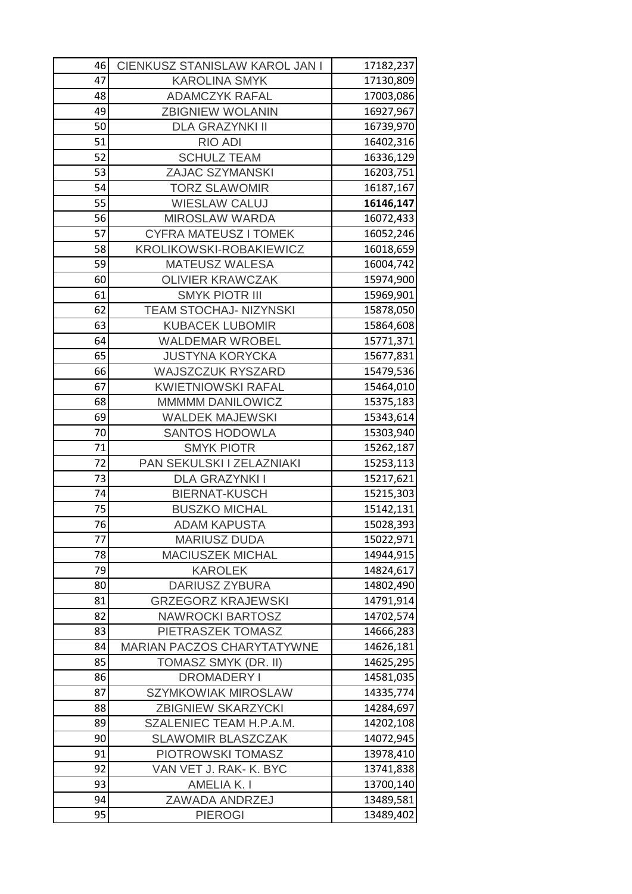| 46       | CIENKUSZ STANISLAW KAROL JAN I                       | 17182,237              |
|----------|------------------------------------------------------|------------------------|
| 47       | <b>KAROLINA SMYK</b>                                 | 17130,809              |
| 48       | <b>ADAMCZYK RAFAL</b>                                | 17003,086              |
| 49       | <b>ZBIGNIEW WOLANIN</b>                              | 16927,967              |
| 50       | <b>DLA GRAZYNKI II</b>                               | 16739,970              |
| 51       | <b>RIO ADI</b>                                       | 16402,316              |
| 52       | <b>SCHULZ TEAM</b>                                   | 16336,129              |
| 53       | <b>ZAJAC SZYMANSKI</b>                               | 16203,751              |
| 54       | <b>TORZ SLAWOMIR</b>                                 | 16187,167              |
| 55       | <b>WIESLAW CALUJ</b>                                 | 16146,147              |
| 56       | <b>MIROSLAW WARDA</b>                                | 16072,433              |
| 57       | <b>CYFRA MATEUSZ I TOMEK</b>                         | 16052,246              |
| 58       | <b>KROLIKOWSKI-ROBAKIEWICZ</b>                       | 16018,659              |
| 59       | <b>MATEUSZ WALESA</b>                                | 16004,742              |
| 60       | <b>OLIVIER KRAWCZAK</b>                              | 15974,900              |
| 61       | <b>SMYK PIOTR III</b>                                | 15969,901              |
| 62       | <b>TEAM STOCHAJ- NIZYNSKI</b>                        | 15878,050              |
| 63       | <b>KUBACEK LUBOMIR</b>                               | 15864,608              |
| 64       | <b>WALDEMAR WROBEL</b>                               | 15771,371              |
| 65       | <b>JUSTYNA KORYCKA</b>                               | 15677,831              |
| 66       | <b>WAJSZCZUK RYSZARD</b>                             | 15479,536              |
| 67       | <b>KWIETNIOWSKI RAFAL</b>                            | 15464,010              |
| 68       | <b>MMMMM DANILOWICZ</b>                              | 15375,183              |
| 69       | <b>WALDEK MAJEWSKI</b>                               | 15343,614              |
| 70       | <b>SANTOS HODOWLA</b>                                | 15303,940              |
| 71       | <b>SMYK PIOTR</b>                                    | 15262,187              |
| 72       | PAN SEKULSKI I ZELAZNIAKI                            | 15253,113              |
| 73       | <b>DLA GRAZYNKI I</b>                                | 15217,621              |
| 74       | <b>BIERNAT-KUSCH</b>                                 | 15215,303              |
| 75       | <b>BUSZKO MICHAL</b>                                 | 15142,131              |
| 76       | <b>ADAM KAPUSTA</b>                                  | 15028,393              |
| 77       | <b>MARIUSZ DUDA</b>                                  | 15022,971              |
| 78       | <b>MACIUSZEK MICHAL</b>                              | 14944,915              |
| 79       | <b>KAROLEK</b>                                       | 14824,617              |
| 80<br>81 | <b>DARIUSZ ZYBURA</b>                                | 14802,490<br>14791,914 |
| 82       | <b>GRZEGORZ KRAJEWSKI</b><br><b>NAWROCKI BARTOSZ</b> | 14702,574              |
| 83       | PIETRASZEK TOMASZ                                    | 14666,283              |
| 84       | <b>MARIAN PACZOS CHARYTATYWNE</b>                    | 14626,181              |
| 85       | TOMASZ SMYK (DR. II)                                 | 14625,295              |
| 86       | <b>DROMADERY I</b>                                   | 14581,035              |
| 87       | <b>SZYMKOWIAK MIROSLAW</b>                           | 14335,774              |
| 88       | <b>ZBIGNIEW SKARZYCKI</b>                            | 14284,697              |
| 89       | SZALENIEC TEAM H.P.A.M.                              | 14202,108              |
| 90       | <b>SLAWOMIR BLASZCZAK</b>                            | 14072,945              |
| 91       | PIOTROWSKI TOMASZ                                    | 13978,410              |
| 92       | VAN VET J. RAK- K. BYC                               | 13741,838              |
| 93       | <b>AMELIA K.I</b>                                    | 13700,140              |
| 94       | ZAWADA ANDRZEJ                                       | 13489,581              |
| 95       | <b>PIEROGI</b>                                       | 13489,402              |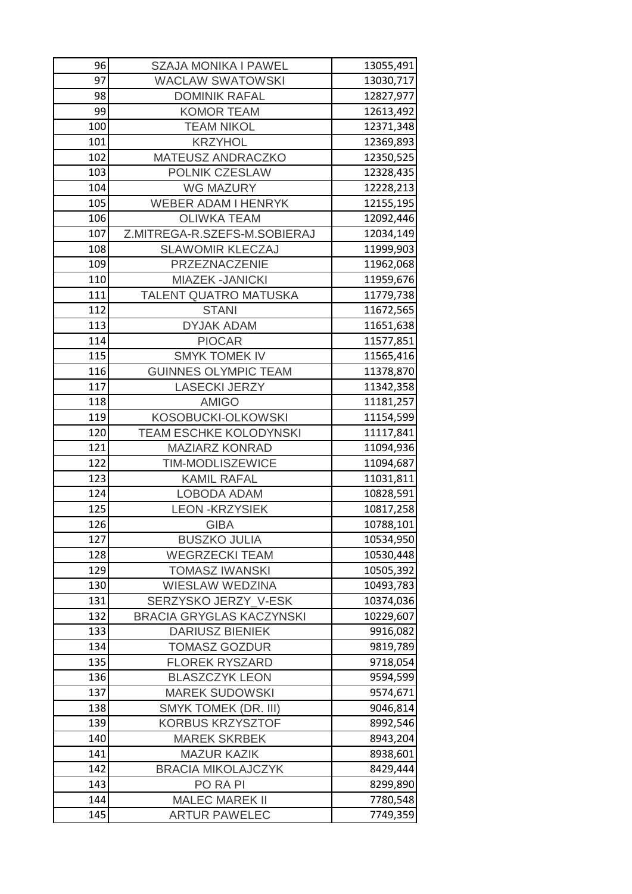| 96  | <b>SZAJA MONIKA I PAWEL</b>     | 13055,491 |
|-----|---------------------------------|-----------|
| 97  | <b>WACLAW SWATOWSKI</b>         | 13030,717 |
| 98  | <b>DOMINIK RAFAL</b>            | 12827,977 |
| 99  | <b>KOMOR TEAM</b>               | 12613,492 |
| 100 | <b>TEAM NIKOL</b>               | 12371,348 |
| 101 | <b>KRZYHOL</b>                  | 12369,893 |
| 102 | MATEUSZ ANDRACZKO               | 12350,525 |
| 103 | <b>POLNIK CZESLAW</b>           | 12328,435 |
| 104 | <b>WG MAZURY</b>                | 12228,213 |
| 105 | <b>WEBER ADAM I HENRYK</b>      | 12155,195 |
| 106 | <b>OLIWKA TEAM</b>              | 12092,446 |
| 107 | Z.MITREGA-R.SZEFS-M.SOBIERAJ    | 12034,149 |
| 108 | <b>SLAWOMIR KLECZAJ</b>         | 11999,903 |
| 109 | PRZEZNACZENIE                   | 11962,068 |
| 110 | <b>MIAZEK -JANICKI</b>          | 11959,676 |
| 111 | TALENT QUATRO MATUSKA           | 11779,738 |
| 112 | <b>STANI</b>                    | 11672,565 |
| 113 | <b>DYJAK ADAM</b>               | 11651,638 |
| 114 | <b>PIOCAR</b>                   | 11577,851 |
| 115 | <b>SMYK TOMEK IV</b>            | 11565,416 |
| 116 | <b>GUINNES OLYMPIC TEAM</b>     | 11378,870 |
| 117 | <b>LASECKI JERZY</b>            | 11342,358 |
| 118 | <b>AMIGO</b>                    | 11181,257 |
| 119 | <b>KOSOBUCKI-OLKOWSKI</b>       | 11154,599 |
| 120 | <b>TEAM ESCHKE KOLODYNSKI</b>   | 11117,841 |
| 121 | <b>MAZIARZ KONRAD</b>           | 11094,936 |
| 122 | TIM-MODLISZEWICE                | 11094,687 |
| 123 | <b>KAMIL RAFAL</b>              | 11031,811 |
| 124 | <b>LOBODA ADAM</b>              | 10828,591 |
| 125 | <b>LEON -KRZYSIEK</b>           | 10817,258 |
| 126 | <b>GIBA</b>                     | 10788,101 |
| 127 | <b>BUSZKO JULIA</b>             | 10534,950 |
| 128 | <b>WEGRZECKI TEAM</b>           | 10530,448 |
| 129 | <b>TOMASZ IWANSKI</b>           | 10505,392 |
| 130 | <b>WIESLAW WEDZINA</b>          | 10493,783 |
| 131 | SERZYSKO JERZY V-ESK            | 10374,036 |
| 132 | <b>BRACIA GRYGLAS KACZYNSKI</b> | 10229,607 |
| 133 | <b>DARIUSZ BIENIEK</b>          | 9916,082  |
| 134 | <b>TOMASZ GOZDUR</b>            | 9819,789  |
| 135 | <b>FLOREK RYSZARD</b>           | 9718,054  |
| 136 | <b>BLASZCZYK LEON</b>           | 9594,599  |
| 137 | <b>MAREK SUDOWSKI</b>           | 9574,671  |
| 138 | <b>SMYK TOMEK (DR. III)</b>     | 9046,814  |
| 139 | <b>KORBUS KRZYSZTOF</b>         | 8992,546  |
| 140 | <b>MAREK SKRBEK</b>             | 8943,204  |
| 141 | <b>MAZUR KAZIK</b>              | 8938,601  |
| 142 | <b>BRACIA MIKOLAJCZYK</b>       | 8429,444  |
| 143 | PO RA PI                        | 8299,890  |
| 144 | <b>MALEC MAREK II</b>           | 7780,548  |
| 145 | <b>ARTUR PAWELEC</b>            | 7749,359  |